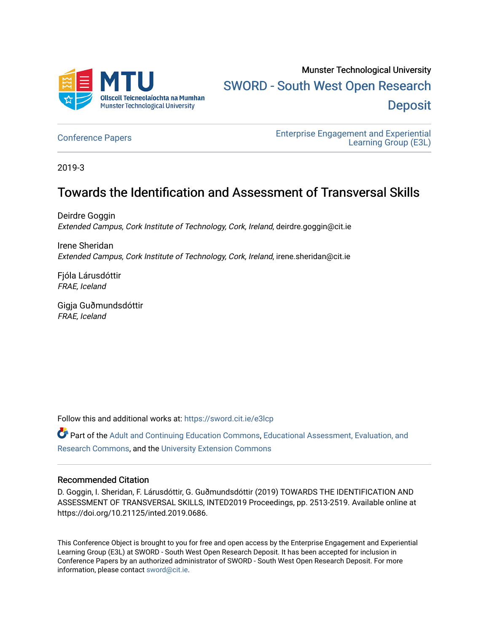

# Munster Technological University [SWORD - South West Open Research](https://sword.cit.ie/)  **Deposit**

[Conference Papers](https://sword.cit.ie/e3lcp) [Enterprise Engagement and Experiential](https://sword.cit.ie/e3l)  [Learning Group \(E3L\)](https://sword.cit.ie/e3l) 

2019-3

## Towards the Identification and Assessment of Transversal Skills

Deirdre Goggin Extended Campus, Cork Institute of Technology, Cork, Ireland, deirdre.goggin@cit.ie

Irene Sheridan Extended Campus, Cork Institute of Technology, Cork, Ireland, irene.sheridan@cit.ie

Fjóla Lárusdóttir FRAE, Iceland

Gigja Guðmundsdóttir FRAE, Iceland

Follow this and additional works at: [https://sword.cit.ie/e3lcp](https://sword.cit.ie/e3lcp?utm_source=sword.cit.ie%2Fe3lcp%2F8&utm_medium=PDF&utm_campaign=PDFCoverPages) 

Part of the [Adult and Continuing Education Commons,](http://network.bepress.com/hgg/discipline/1375?utm_source=sword.cit.ie%2Fe3lcp%2F8&utm_medium=PDF&utm_campaign=PDFCoverPages) [Educational Assessment, Evaluation, and](http://network.bepress.com/hgg/discipline/796?utm_source=sword.cit.ie%2Fe3lcp%2F8&utm_medium=PDF&utm_campaign=PDFCoverPages)  [Research Commons,](http://network.bepress.com/hgg/discipline/796?utm_source=sword.cit.ie%2Fe3lcp%2F8&utm_medium=PDF&utm_campaign=PDFCoverPages) and the [University Extension Commons](http://network.bepress.com/hgg/discipline/1361?utm_source=sword.cit.ie%2Fe3lcp%2F8&utm_medium=PDF&utm_campaign=PDFCoverPages) 

#### Recommended Citation

D. Goggin, I. Sheridan, F. Lárusdóttir, G. Guðmundsdóttir (2019) TOWARDS THE IDENTIFICATION AND ASSESSMENT OF TRANSVERSAL SKILLS, INTED2019 Proceedings, pp. 2513-2519. Available online at https://doi.org/10.21125/inted.2019.0686.

This Conference Object is brought to you for free and open access by the Enterprise Engagement and Experiential Learning Group (E3L) at SWORD - South West Open Research Deposit. It has been accepted for inclusion in Conference Papers by an authorized administrator of SWORD - South West Open Research Deposit. For more information, please contact [sword@cit.ie](mailto:sword@cit.ie).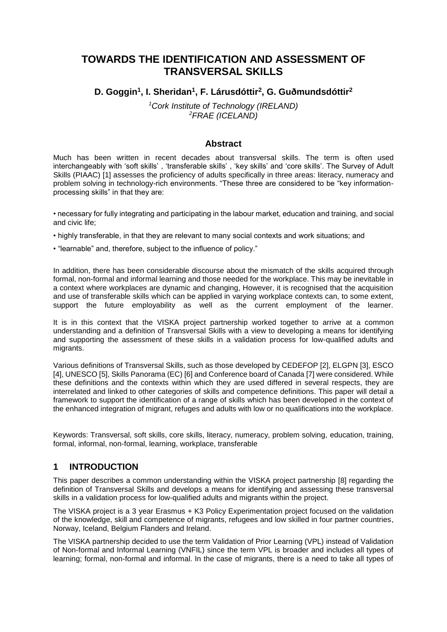## **TOWARDS THE IDENTIFICATION AND ASSESSMENT OF TRANSVERSAL SKILLS**

## **D. Goggin<sup>1</sup> , I. Sheridan<sup>1</sup> , F. Lárusdóttir<sup>2</sup> , G. Guðmundsdóttir<sup>2</sup>**

*<sup>1</sup>Cork Institute of Technology (IRELAND) <sup>2</sup>FRAE (ICELAND)*

#### **Abstract**

Much has been written in recent decades about transversal skills. The term is often used interchangeably with 'soft skills' , 'transferable skills' , 'key skills' and 'core skills'. The Survey of Adult Skills (PIAAC) [1] assesses the proficiency of adults specifically in three areas: literacy, numeracy and problem solving in technology-rich environments. "These three are considered to be "key informationprocessing skills" in that they are:

• necessary for fully integrating and participating in the labour market, education and training, and social and civic life;

- highly transferable, in that they are relevant to many social contexts and work situations; and
- "learnable" and, therefore, subject to the influence of policy."

In addition, there has been considerable discourse about the mismatch of the skills acquired through formal, non-formal and informal learning and those needed for the workplace. This may be inevitable in a context where workplaces are dynamic and changing, However, it is recognised that the acquisition and use of transferable skills which can be applied in varying workplace contexts can, to some extent, support the future employability as well as the current employment of the learner.

It is in this context that the VISKA project partnership worked together to arrive at a common understanding and a definition of Transversal Skills with a view to developing a means for identifying and supporting the assessment of these skills in a validation process for low-qualified adults and migrants.

Various definitions of Transversal Skills, such as those developed by CEDEFOP [2], ELGPN [3], ESCO [4], UNESCO [5], Skills Panorama (EC) [6] and Conference board of Canada [7] were considered. While these definitions and the contexts within which they are used differed in several respects, they are interrelated and linked to other categories of skills and competence definitions. This paper will detail a framework to support the identification of a range of skills which has been developed in the context of the enhanced integration of migrant, refuges and adults with low or no qualifications into the workplace.

Keywords: Transversal, soft skills, core skills, literacy, numeracy, problem solving, education, training, formal, informal, non-formal, learning, workplace, transferable

#### **1 INTRODUCTION**

This paper describes a common understanding within the VISKA project partnership [8] regarding the definition of Transversal Skills and develops a means for identifying and assessing these transversal skills in a validation process for low-qualified adults and migrants within the project.

The VISKA project is a 3 year Erasmus + K3 Policy Experimentation project focused on the validation of the knowledge, skill and competence of migrants, refugees and low skilled in four partner countries, Norway, Iceland, Belgium Flanders and Ireland.

The VISKA partnership decided to use the term Validation of Prior Learning (VPL) instead of Validation of Non-formal and Informal Learning (VNFIL) since the term VPL is broader and includes all types of learning; formal, non-formal and informal. In the case of migrants, there is a need to take all types of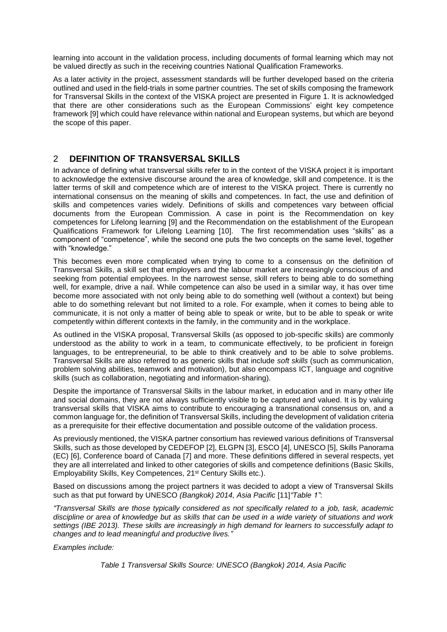learning into account in the validation process, including documents of formal learning which may not be valued directly as such in the receiving countries National Qualification Frameworks.

As a later activity in the project, assessment standards will be further developed based on the criteria outlined and used in the field-trials in some partner countries. The set of skills composing the framework for Transversal Skills in the context of the VISKA project are presented in Figure 1. It is acknowledged that there are other considerations such as the European Commissions' eight key competence framework [9] which could have relevance within national and European systems, but which are beyond the scope of this paper.

#### 2 **DEFINITION OF TRANSVERSAL SKILLS**

In advance of defining what transversal skills refer to in the context of the VISKA project it is important to acknowledge the extensive discourse around the area of knowledge, skill and competence. It is the latter terms of skill and competence which are of interest to the VISKA project. There is currently no international consensus on the meaning of skills and competences. In fact, the use and definition of skills and competences varies widely. Definitions of skills and competences vary between official documents from the European Commission. A case in point is the Recommendation on key competences for Lifelong learning [9] and the Recommendation on the establishment of the European Qualifications Framework for Lifelong Learning [10]. The first recommendation uses "skills" as a component of "competence", while the second one puts the two concepts on the same level, together with "knowledge."

This becomes even more complicated when trying to come to a consensus on the definition of Transversal Skills, a skill set that employers and the labour market are increasingly conscious of and seeking from potential employees. In the narrowest sense, skill refers to being able to do something well, for example, drive a nail. While competence can also be used in a similar way, it has over time become more associated with not only being able to do something well (without a context) but being able to do something relevant but not limited to a role. For example, when it comes to being able to communicate, it is not only a matter of being able to speak or write, but to be able to speak or write competently within different contexts in the family, in the community and in the workplace.

As outlined in the VISKA proposal, Transversal Skills (as opposed to job-specific skills) are commonly understood as the ability to work in a team, to communicate effectively, to be proficient in foreign languages, to be entrepreneurial, to be able to think creatively and to be able to solve problems. Transversal Skills are also referred to as generic skills that include *soft skills* (such as communication, problem solving abilities, teamwork and motivation), but also encompass ICT, language and cognitive skills (such as collaboration, negotiating and information-sharing).

Despite the importance of Transversal Skills in the labour market, in education and in many other life and social domains, they are not always sufficiently visible to be captured and valued. It is by valuing transversal skills that VISKA aims to contribute to encouraging a transnational consensus on, and a common language for, the definition of Transversal Skills, including the development of validation criteria as a prerequisite for their effective documentation and possible outcome of the validation process.

As previously mentioned, the VISKA partner consortium has reviewed various definitions of Transversal Skills, such as those developed by CEDEFOP [2], ELGPN [3], ESCO [4], UNESCO [5], Skills Panorama (EC) [6], Conference board of Canada [7] and more. These definitions differed in several respects, yet they are all interrelated and linked to other categories of skills and competence definitions (Basic Skills, Employability Skills, Key Competences, 21<sup>st</sup> Century Skills etc.).

Based on discussions among the project partners it was decided to adopt a view of Transversal Skills such as that put forward by UNESCO *(Bangkok) 2014, Asia Pacific* [11]*"Table 1"*:

*"Transversal Skills are those typically considered as not specifically related to a job, task, academic discipline or area of knowledge but as skills that can be used in a wide variety of situations and work settings (IBE 2013). These skills are increasingly in high demand for learners to successfully adapt to changes and to lead meaningful and productive lives."*

*Examples include:*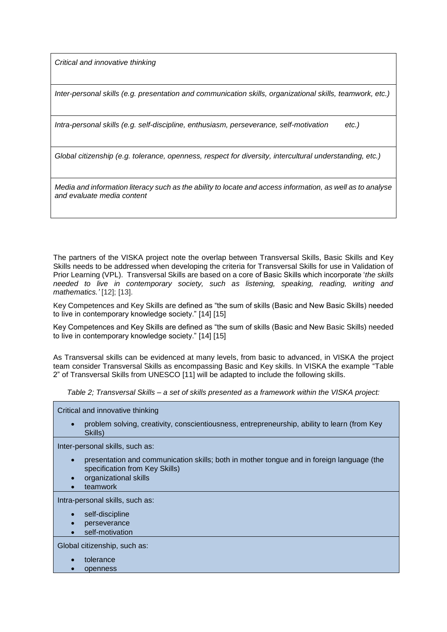*Critical and innovative thinking*

*Inter-personal skills (e.g. presentation and communication skills, organizational skills, teamwork, etc.)*

*Intra-personal skills (e.g. self-discipline, enthusiasm, perseverance, self-motivation etc.)*

*Global citizenship (e.g. tolerance, openness, respect for diversity, intercultural understanding, etc.)*

*Media and information literacy such as the ability to locate and access information, as well as to analyse and evaluate media content*

The partners of the VISKA project note the overlap between Transversal Skills, Basic Skills and Key Skills needs to be addressed when developing the criteria for Transversal Skills for use in Validation of Prior Learning (VPL). Transversal Skills are based on a core of Basic Skills which incorporate '*the skills needed to live in contemporary society, such as listening, speaking, reading, writing and mathematics.'* [12]; [13].

Key Competences and Key Skills are defined as "the sum of skills (Basic and New Basic Skills) needed to live in contemporary knowledge society." [14] [15]

Key Competences and Key Skills are defined as "the sum of skills (Basic and New Basic Skills) needed to live in contemporary knowledge society." [14] [15]

As Transversal skills can be evidenced at many levels, from basic to advanced, in VISKA the project team consider Transversal Skills as encompassing Basic and Key skills. In VISKA the example "Table 2" of Transversal Skills from UNESCO [11] will be adapted to include the following skills.

*Table 2; Transversal Skills – a set of skills presented as a framework within the VISKA project:*

Critical and innovative thinking

• problem solving, creativity, conscientiousness, entrepreneurship, ability to learn (from Key Skills)

Inter-personal skills, such as:

- presentation and communication skills; both in mother tongue and in foreign language (the specification from Key Skills)
- organizational skills
- teamwork

Intra-personal skills, such as:

- self-discipline
- perseverance
- self-motivation

Global citizenship, such as:

- tolerance
- openness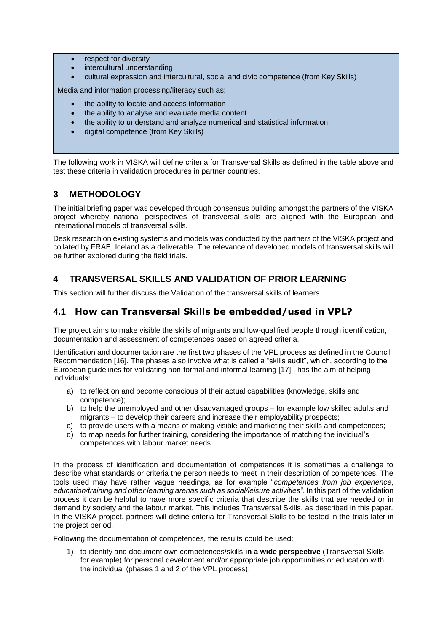- respect for diversity
- intercultural understanding
- cultural expression and intercultural, social and civic competence (from Key Skills)

Media and information processing/literacy such as:

- the ability to locate and access information
- the ability to analyse and evaluate media content
- the ability to understand and analyze numerical and statistical information
- digital competence (from Key Skills)

The following work in VISKA will define criteria for Transversal Skills as defined in the table above and test these criteria in validation procedures in partner countries.

## **3 METHODOLOGY**

The initial briefing paper was developed through consensus building amongst the partners of the VISKA project whereby national perspectives of transversal skills are aligned with the European and international models of transversal skills.

Desk research on existing systems and models was conducted by the partners of the VISKA project and collated by FRAE, Iceland as a deliverable. The relevance of developed models of transversal skills will be further explored during the field trials.

## **4 TRANSVERSAL SKILLS AND VALIDATION OF PRIOR LEARNING**

This section will further discuss the Validation of the transversal skills of learners.

## **4.1 How can Transversal Skills be embedded/used in VPL?**

The project aims to make visible the skills of migrants and low-qualified people through identification, documentation and assessment of competences based on agreed criteria.

Identification and documentation are the first two phases of the VPL process as defined in the Council Recommendation [16]. The phases also involve what is called a "skills audit", which, according to the European guidelines for validating non-formal and informal learning [17] , has the aim of helping individuals:

- a) to reflect on and become conscious of their actual capabilities (knowledge, skills and competence);
- b) to help the unemployed and other disadvantaged groups for example low skilled adults and migrants – to develop their careers and increase their employability prospects;
- c) to provide users with a means of making visible and marketing their skills and competences;
- d) to map needs for further training, considering the importance of matching the invidiual's competences with labour market needs.

In the process of identification and documentation of competences it is sometimes a challenge to describe what standards or criteria the person needs to meet in their description of competences. The tools used may have rather vague headings, as for example "*competences from job experience*, *education/training and other learning arenas such as social/leisure activities"*. In this part of the validation process it can be helpful to have more specific criteria that describe the skills that are needed or in demand by society and the labour market. This includes Transversal Skills, as described in this paper. In the VISKA project, partners will define criteria for Transversal Skills to be tested in the trials later in the project period.

Following the documentation of competences, the results could be used:

1) to identify and document own competences/skills **in a wide perspective** (Transversal Skills for example) for personal develoment and/or appropriate job opportunities or education with the individual (phases 1 and 2 of the VPL process);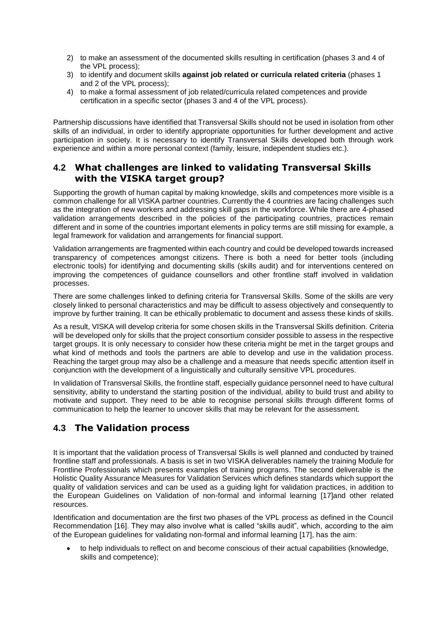- 2) to make an assessment of the documented skills resulting in certification (phases 3 and 4 of the VPL process);
- 3) to identify and document skills **against job related or curricula related criteria** (phases 1 and 2 of the VPL process);
- 4) to make a formal assessment of job related/curricula related competences and provide certification in a specific sector (phases 3 and 4 of the VPL process).

Partnership discussions have identified that Transversal Skills should not be used in isolation from other skills of an individual, in order to identify appropriate opportunities for further development and active participation in society. It is necessary to identify Transversal Skills developed both through work experience and within a more personal context (family, leisure, independent studies etc.).

## **4.2 What challenges are linked to validating Transversal Skills with the VISKA target group?**

Supporting the growth of human capital by making knowledge, skills and competences more visible is a common challenge for all VISKA partner countries. Currently the 4 countries are facing challenges such as the integration of new workers and addressing skill gaps in the workforce. While there are 4-phased validation arrangements described in the policies of the participating countries, practices remain different and in some of the countries important elements in policy terms are still missing for example, a legal framework for validation and arrangements for financial support.

Validation arrangements are fragmented within each country and could be developed towards increased transparency of competences amongst citizens. There is both a need for better tools (including electronic tools) for identifying and documenting skills (skills audit) and for interventions centered on improving the competences of guidance counsellors and other frontline staff involved in validation processes.

There are some challenges linked to defining criteria for Transversal Skills. Some of the skills are very closely linked to personal characteristics and may be difficult to assess objectively and consequently to improve by further training. It can be ethically problematic to document and assess these kinds of skills.

As a result, VISKA will develop criteria for some chosen skills in the Transversal Skills definition. Criteria will be developed only for skills that the project consortium consider possible to assess in the respective target groups. It is only necessary to consider how these criteria might be met in the target groups and what kind of methods and tools the partners are able to develop and use in the validation process. Reaching the target group may also be a challenge and a measure that needs specific attention itself in conjunction with the development of a linguistically and culturally sensitive VPL procedures.

In validation of Transversal Skills, the frontline staff, especially guidance personnel need to have cultural sensitivity, ability to understand the starting position of the individual, ability to build trust and ability to motivate and support. They need to be able to recognise personal skills through different forms of communication to help the learner to uncover skills that may be relevant for the assessment.

## **4.3 The Validation process**

It is important that the validation process of Transversal Skills is well planned and conducted by trained frontline staff and professionals. A basis is set in two VISKA deliverables namely the training Module for Frontline Professionals which presents examples of training programs. The second deliverable is the Holistic Quality Assurance Measures for Validation Services which defines standards which support the quality of validation services and can be used as a guiding light for validation practices, in addition to the European Guidelines on Validation of non-formal and informal learning [17]and other related resources.

Identification and documentation are the first two phases of the VPL process as defined in the Council Recommendation [16]. They may also involve what is called "skills audit", which, according to the aim of the European guidelines for validating non-formal and informal learning [17], has the aim:

• to help individuals to reflect on and become conscious of their actual capabilities (knowledge, skills and competence);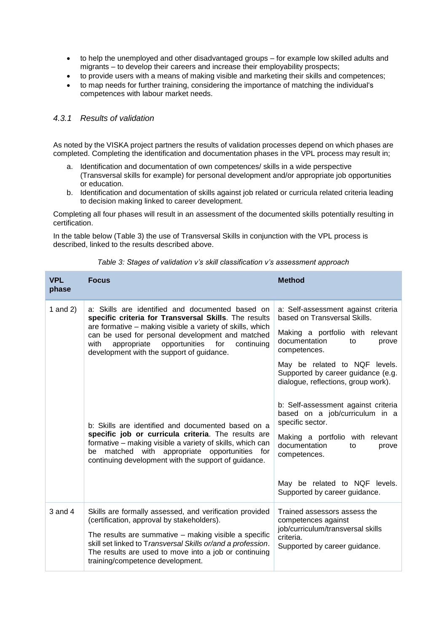- to help the unemployed and other disadvantaged groups for example low skilled adults and migrants – to develop their careers and increase their employability prospects;
- to provide users with a means of making visible and marketing their skills and competences;
- to map needs for further training, considering the importance of matching the individual's competences with labour market needs.

#### *4.3.1 Results of validation*

As noted by the VISKA project partners the results of validation processes depend on which phases are completed. Completing the identification and documentation phases in the VPL process may result in;

- a. Identification and documentation of own competences/ skills in a wide perspective (Transversal skills for example) for personal development and/or appropriate job opportunities or education.
- b. Identification and documentation of skills against job related or curricula related criteria leading to decision making linked to career development.

Completing all four phases will result in an assessment of the documented skills potentially resulting in certification.

In the table below (Table 3) the use of Transversal Skills in conjunction with the VPL process is described, linked to the results described above.

| <b>VPL</b><br>phase | <b>Focus</b>                                                                                                                                                                                                                                                                                                                                                                                                                                                                                                                                                                                                      | <b>Method</b>                                                                                                                                                                                                                                                                                                                                                                                                                                          |
|---------------------|-------------------------------------------------------------------------------------------------------------------------------------------------------------------------------------------------------------------------------------------------------------------------------------------------------------------------------------------------------------------------------------------------------------------------------------------------------------------------------------------------------------------------------------------------------------------------------------------------------------------|--------------------------------------------------------------------------------------------------------------------------------------------------------------------------------------------------------------------------------------------------------------------------------------------------------------------------------------------------------------------------------------------------------------------------------------------------------|
| 1 and $2)$          | a: Skills are identified and documented based on<br>specific criteria for Transversal Skills. The results<br>are formative – making visible a variety of skills, which<br>can be used for personal development and matched<br>appropriate opportunities for<br>continuing<br>with<br>development with the support of guidance.<br>b: Skills are identified and documented based on a<br>specific job or curricula criteria. The results are<br>formative – making visible a variety of skills, which can<br>be matched with appropriate opportunities for<br>continuing development with the support of guidance. | a: Self-assessment against criteria<br>based on Transversal Skills.<br>Making a portfolio with relevant<br>documentation<br>to<br>prove<br>competences.<br>May be related to NQF levels.<br>Supported by career guidance (e.g.<br>dialogue, reflections, group work).<br>b: Self-assessment against criteria<br>based on a job/curriculum in a<br>specific sector.<br>Making a portfolio with relevant<br>documentation<br>to<br>prove<br>competences. |
|                     |                                                                                                                                                                                                                                                                                                                                                                                                                                                                                                                                                                                                                   | May be related to NQF levels.<br>Supported by career guidance.                                                                                                                                                                                                                                                                                                                                                                                         |
| $3$ and $4$         | Skills are formally assessed, and verification provided<br>(certification, approval by stakeholders).<br>The results are summative - making visible a specific<br>skill set linked to Transversal Skills or/and a profession.<br>The results are used to move into a job or continuing<br>training/competence development.                                                                                                                                                                                                                                                                                        | Trained assessors assess the<br>competences against<br>job/curriculum/transversal skills<br>criteria.<br>Supported by career guidance.                                                                                                                                                                                                                                                                                                                 |

#### *Table 3: Stages of validation v's skill classification v's assessment approach*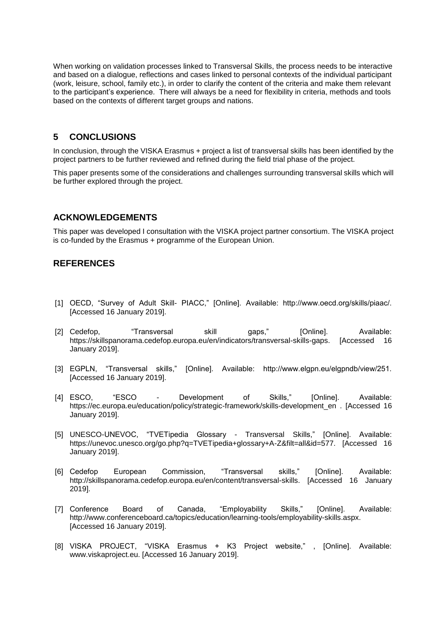When working on validation processes linked to Transversal Skills, the process needs to be interactive and based on a dialogue, reflections and cases linked to personal contexts of the individual participant (work, leisure, school, family etc.), in order to clarify the content of the criteria and make them relevant to the participant's experience. There will always be a need for flexibility in criteria, methods and tools based on the contexts of different target groups and nations.

#### **5 CONCLUSIONS**

In conclusion, through the VISKA Erasmus + project a list of transversal skills has been identified by the project partners to be further reviewed and refined during the field trial phase of the project.

This paper presents some of the considerations and challenges surrounding transversal skills which will be further explored through the project.

#### **ACKNOWLEDGEMENTS**

This paper was developed I consultation with the VISKA project partner consortium. The VISKA project is co-funded by the Erasmus + programme of the European Union.

#### **REFERENCES**

- [1] OECD, "Survey of Adult Skill- PIACC," [Online]. Available: http://www.oecd.org/skills/piaac/. [Accessed 16 January 2019].
- [2] Cedefop, "Transversal skill gaps," [Online]. Available: https://skillspanorama.cedefop.europa.eu/en/indicators/transversal-skills-gaps. [Accessed 16 January 2019].
- [3] EGPLN, "Transversal skills," [Online]. Available: http://www.elgpn.eu/elgpndb/view/251. [Accessed 16 January 2019].
- [4] ESCO, "ESCO Development of Skills," [Online]. Available: https://ec.europa.eu/education/policy/strategic-framework/skills-development\_en . [Accessed 16 January 2019].
- [5] UNESCO-UNEVOC, "TVETipedia Glossary Transversal Skills," [Online]. Available: https://unevoc.unesco.org/go.php?q=TVETipedia+glossary+A-Z&filt=all&id=577. [Accessed 16 January 2019].
- [6] Cedefop European Commission, "Transversal skills," [Online]. Available: http://skillspanorama.cedefop.europa.eu/en/content/transversal-skills. [Accessed 16 January 2019].
- [7] Conference Board of Canada, "Employability Skills," [Online]. Available: http://www.conferenceboard.ca/topics/education/learning-tools/employability-skills.aspx. [Accessed 16 January 2019].
- [8] VISKA PROJECT, "VISKA Erasmus + K3 Project website," , [Online]. Available: www.viskaproject.eu. [Accessed 16 January 2019].